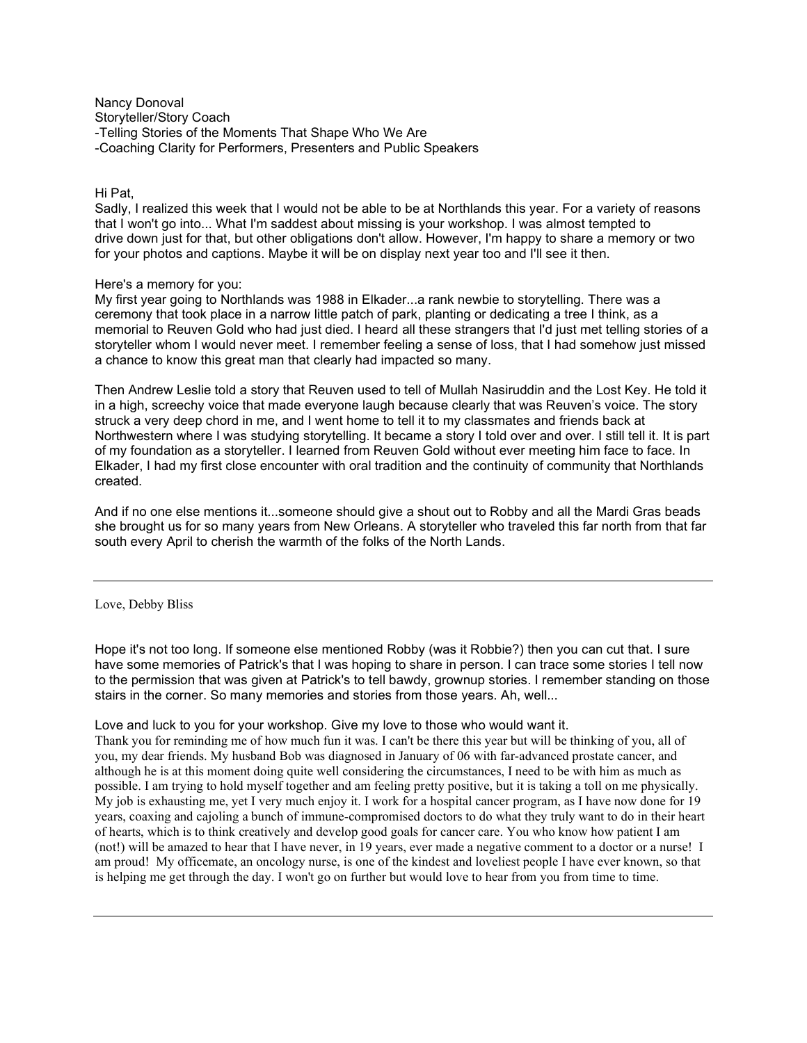Nancy Donoval Storyteller/Story Coach -Telling Stories of the Moments That Shape Who We Are -Coaching Clarity for Performers, Presenters and Public Speakers

### Hi Pat,

Sadly, I realized this week that I would not be able to be at Northlands this year. For a variety of reasons that I won't go into... What I'm saddest about missing is your workshop. I was almost tempted to drive down just for that, but other obligations don't allow. However, I'm happy to share a memory or two for your photos and captions. Maybe it will be on display next year too and I'll see it then.

### Here's a memory for you:

My first year going to Northlands was 1988 in Elkader...a rank newbie to storytelling. There was a ceremony that took place in a narrow little patch of park, planting or dedicating a tree I think, as a memorial to Reuven Gold who had just died. I heard all these strangers that I'd just met telling stories of a storyteller whom I would never meet. I remember feeling a sense of loss, that I had somehow just missed a chance to know this great man that clearly had impacted so many.

Then Andrew Leslie told a story that Reuven used to tell of Mullah Nasiruddin and the Lost Key. He told it in a high, screechy voice that made everyone laugh because clearly that was Reuven's voice. The story struck a very deep chord in me, and I went home to tell it to my classmates and friends back at Northwestern where I was studying storytelling. It became a story I told over and over. I still tell it. It is part of my foundation as a storyteller. I learned from Reuven Gold without ever meeting him face to face. In Elkader, I had my first close encounter with oral tradition and the continuity of community that Northlands created.

And if no one else mentions it...someone should give a shout out to Robby and all the Mardi Gras beads she brought us for so many years from New Orleans. A storyteller who traveled this far north from that far south every April to cherish the warmth of the folks of the North Lands.

Love, Debby Bliss

Hope it's not too long. If someone else mentioned Robby (was it Robbie?) then you can cut that. I sure have some memories of Patrick's that I was hoping to share in person. I can trace some stories I tell now to the permission that was given at Patrick's to tell bawdy, grownup stories. I remember standing on those stairs in the corner. So many memories and stories from those years. Ah, well...

Love and luck to you for your workshop. Give my love to those who would want it.

Thank you for reminding me of how much fun it was. I can't be there this year but will be thinking of you, all of you, my dear friends. My husband Bob was diagnosed in January of 06 with far-advanced prostate cancer, and although he is at this moment doing quite well considering the circumstances, I need to be with him as much as possible. I am trying to hold myself together and am feeling pretty positive, but it is taking a toll on me physically. My job is exhausting me, yet I very much enjoy it. I work for a hospital cancer program, as I have now done for 19 years, coaxing and cajoling a bunch of immune-compromised doctors to do what they truly want to do in their heart of hearts, which is to think creatively and develop good goals for cancer care. You who know how patient I am (not!) will be amazed to hear that I have never, in 19 years, ever made a negative comment to a doctor or a nurse! I am proud! My officemate, an oncology nurse, is one of the kindest and loveliest people I have ever known, so that is helping me get through the day. I won't go on further but would love to hear from you from time to time.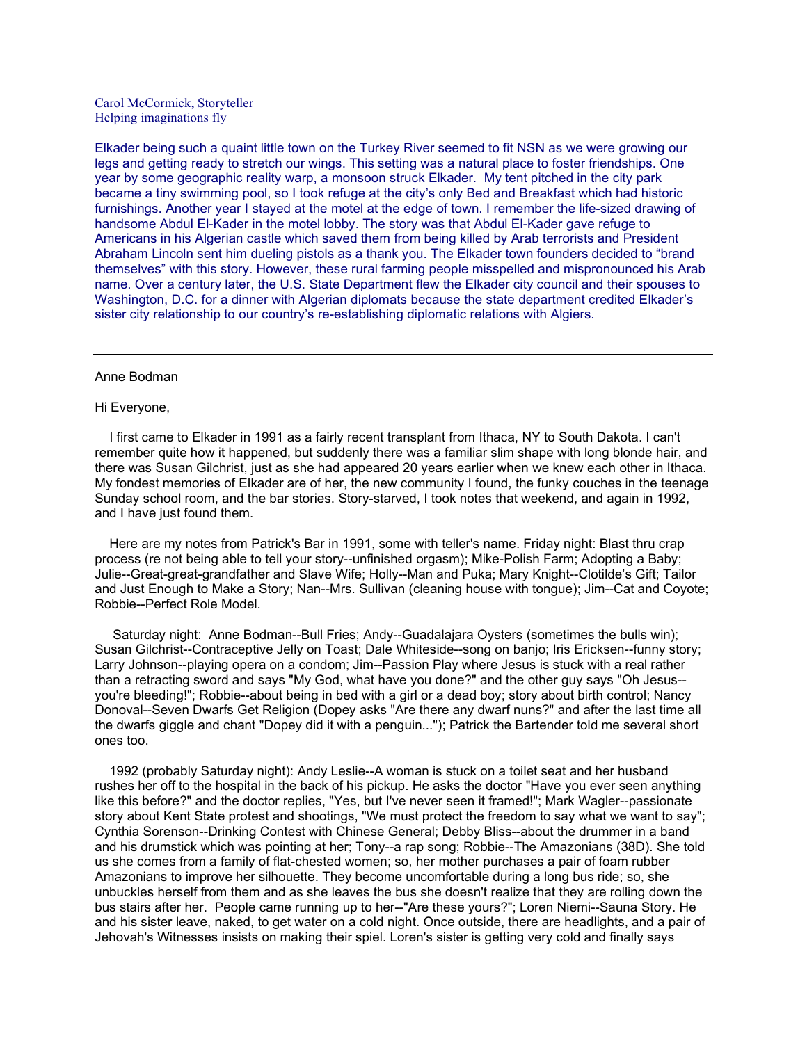Carol McCormick, Storyteller Helping imaginations fly

Elkader being such a quaint little town on the Turkey River seemed to fit NSN as we were growing our legs and getting ready to stretch our wings. This setting was a natural place to foster friendships. One year by some geographic reality warp, a monsoon struck Elkader. My tent pitched in the city park became a tiny swimming pool, so I took refuge at the city's only Bed and Breakfast which had historic furnishings. Another year I stayed at the motel at the edge of town. I remember the life-sized drawing of handsome Abdul El-Kader in the motel lobby. The story was that Abdul El-Kader gave refuge to Americans in his Algerian castle which saved them from being killed by Arab terrorists and President Abraham Lincoln sent him dueling pistols as a thank you. The Elkader town founders decided to "brand themselves" with this story. However, these rural farming people misspelled and mispronounced his Arab name. Over a century later, the U.S. State Department flew the Elkader city council and their spouses to Washington, D.C. for a dinner with Algerian diplomats because the state department credited Elkader's sister city relationship to our country's re-establishing diplomatic relations with Algiers.

#### Anne Bodman

#### Hi Everyone,

 I first came to Elkader in 1991 as a fairly recent transplant from Ithaca, NY to South Dakota. I can't remember quite how it happened, but suddenly there was a familiar slim shape with long blonde hair, and there was Susan Gilchrist, just as she had appeared 20 years earlier when we knew each other in Ithaca. My fondest memories of Elkader are of her, the new community I found, the funky couches in the teenage Sunday school room, and the bar stories. Story-starved, I took notes that weekend, and again in 1992, and I have just found them.

 Here are my notes from Patrick's Bar in 1991, some with teller's name. Friday night: Blast thru crap process (re not being able to tell your story--unfinished orgasm); Mike-Polish Farm; Adopting a Baby; Julie--Great-great-grandfather and Slave Wife; Holly--Man and Puka; Mary Knight--Clotilde's Gift; Tailor and Just Enough to Make a Story; Nan--Mrs. Sullivan (cleaning house with tongue); Jim--Cat and Coyote; Robbie--Perfect Role Model.

 Saturday night: Anne Bodman--Bull Fries; Andy--Guadalajara Oysters (sometimes the bulls win); Susan Gilchrist--Contraceptive Jelly on Toast; Dale Whiteside--song on banjo; Iris Ericksen--funny story; Larry Johnson--playing opera on a condom; Jim--Passion Play where Jesus is stuck with a real rather than a retracting sword and says "My God, what have you done?" and the other guy says "Oh Jesus- you're bleeding!"; Robbie--about being in bed with a girl or a dead boy; story about birth control; Nancy Donoval--Seven Dwarfs Get Religion (Dopey asks "Are there any dwarf nuns?" and after the last time all the dwarfs giggle and chant "Dopey did it with a penguin..."); Patrick the Bartender told me several short ones too.

 1992 (probably Saturday night): Andy Leslie--A woman is stuck on a toilet seat and her husband rushes her off to the hospital in the back of his pickup. He asks the doctor "Have you ever seen anything like this before?" and the doctor replies, "Yes, but I've never seen it framed!"; Mark Wagler--passionate story about Kent State protest and shootings, "We must protect the freedom to say what we want to say"; Cynthia Sorenson--Drinking Contest with Chinese General; Debby Bliss--about the drummer in a band and his drumstick which was pointing at her; Tony--a rap song; Robbie--The Amazonians (38D). She told us she comes from a family of flat-chested women; so, her mother purchases a pair of foam rubber Amazonians to improve her silhouette. They become uncomfortable during a long bus ride; so, she unbuckles herself from them and as she leaves the bus she doesn't realize that they are rolling down the bus stairs after her. People came running up to her--"Are these yours?"; Loren Niemi--Sauna Story. He and his sister leave, naked, to get water on a cold night. Once outside, there are headlights, and a pair of Jehovah's Witnesses insists on making their spiel. Loren's sister is getting very cold and finally says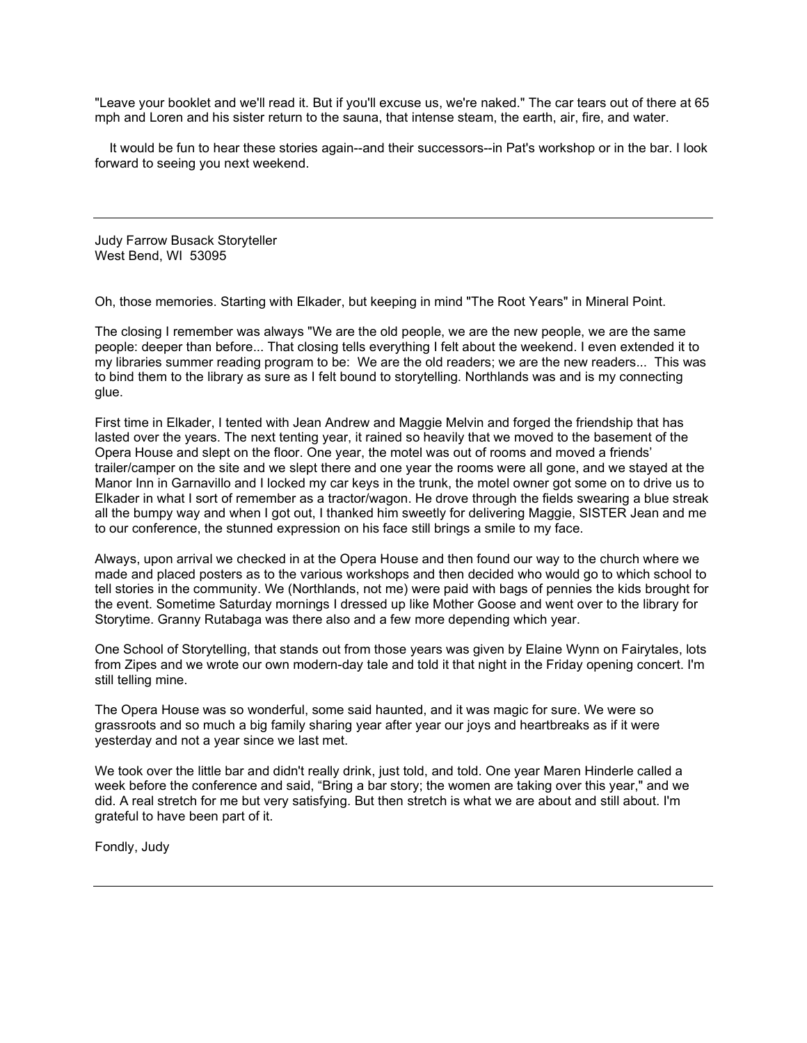"Leave your booklet and we'll read it. But if you'll excuse us, we're naked." The car tears out of there at 65 mph and Loren and his sister return to the sauna, that intense steam, the earth, air, fire, and water.

 It would be fun to hear these stories again--and their successors--in Pat's workshop or in the bar. I look forward to seeing you next weekend.

Judy Farrow Busack Storyteller West Bend, WI 53095

Oh, those memories. Starting with Elkader, but keeping in mind "The Root Years" in Mineral Point.

The closing I remember was always "We are the old people, we are the new people, we are the same people: deeper than before... That closing tells everything I felt about the weekend. I even extended it to my libraries summer reading program to be: We are the old readers; we are the new readers... This was to bind them to the library as sure as I felt bound to storytelling. Northlands was and is my connecting glue.

First time in Elkader, I tented with Jean Andrew and Maggie Melvin and forged the friendship that has lasted over the years. The next tenting year, it rained so heavily that we moved to the basement of the Opera House and slept on the floor. One year, the motel was out of rooms and moved a friends' trailer/camper on the site and we slept there and one year the rooms were all gone, and we stayed at the Manor Inn in Garnavillo and I locked my car keys in the trunk, the motel owner got some on to drive us to Elkader in what I sort of remember as a tractor/wagon. He drove through the fields swearing a blue streak all the bumpy way and when I got out, I thanked him sweetly for delivering Maggie, SISTER Jean and me to our conference, the stunned expression on his face still brings a smile to my face.

Always, upon arrival we checked in at the Opera House and then found our way to the church where we made and placed posters as to the various workshops and then decided who would go to which school to tell stories in the community. We (Northlands, not me) were paid with bags of pennies the kids brought for the event. Sometime Saturday mornings I dressed up like Mother Goose and went over to the library for Storytime. Granny Rutabaga was there also and a few more depending which year.

One School of Storytelling, that stands out from those years was given by Elaine Wynn on Fairytales, lots from Zipes and we wrote our own modern-day tale and told it that night in the Friday opening concert. I'm still telling mine.

The Opera House was so wonderful, some said haunted, and it was magic for sure. We were so grassroots and so much a big family sharing year after year our joys and heartbreaks as if it were yesterday and not a year since we last met.

We took over the little bar and didn't really drink, just told, and told. One year Maren Hinderle called a week before the conference and said, "Bring a bar story; the women are taking over this year," and we did. A real stretch for me but very satisfying. But then stretch is what we are about and still about. I'm grateful to have been part of it.

Fondly, Judy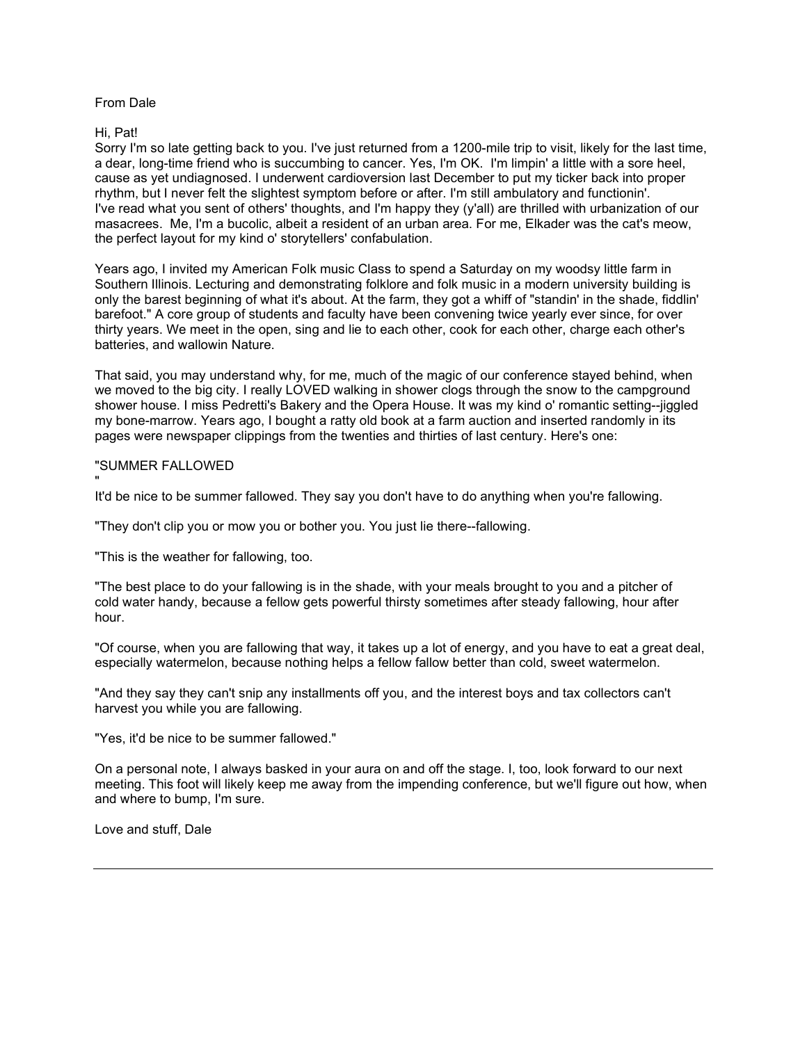## From Dale

# Hi, Pat!

Sorry I'm so late getting back to you. I've just returned from a 1200-mile trip to visit, likely for the last time, a dear, long-time friend who is succumbing to cancer. Yes, I'm OK. I'm limpin' a little with a sore heel, cause as yet undiagnosed. I underwent cardioversion last December to put my ticker back into proper rhythm, but I never felt the slightest symptom before or after. I'm still ambulatory and functionin'. I've read what you sent of others' thoughts, and I'm happy they (y'all) are thrilled with urbanization of our masacrees. Me, I'm a bucolic, albeit a resident of an urban area. For me, Elkader was the cat's meow, the perfect layout for my kind o' storytellers' confabulation.

Years ago, I invited my American Folk music Class to spend a Saturday on my woodsy little farm in Southern Illinois. Lecturing and demonstrating folklore and folk music in a modern university building is only the barest beginning of what it's about. At the farm, they got a whiff of "standin' in the shade, fiddlin' barefoot." A core group of students and faculty have been convening twice yearly ever since, for over thirty years. We meet in the open, sing and lie to each other, cook for each other, charge each other's batteries, and wallowin Nature.

That said, you may understand why, for me, much of the magic of our conference stayed behind, when we moved to the big city. I really LOVED walking in shower clogs through the snow to the campground shower house. I miss Pedretti's Bakery and the Opera House. It was my kind o' romantic setting--jiggled my bone-marrow. Years ago, I bought a ratty old book at a farm auction and inserted randomly in its pages were newspaper clippings from the twenties and thirties of last century. Here's one:

# "SUMMER FALLOWED

" It'd be nice to be summer fallowed. They say you don't have to do anything when you're fallowing.

"They don't clip you or mow you or bother you. You just lie there--fallowing.

"This is the weather for fallowing, too.

"The best place to do your fallowing is in the shade, with your meals brought to you and a pitcher of cold water handy, because a fellow gets powerful thirsty sometimes after steady fallowing, hour after hour.

"Of course, when you are fallowing that way, it takes up a lot of energy, and you have to eat a great deal, especially watermelon, because nothing helps a fellow fallow better than cold, sweet watermelon.

"And they say they can't snip any installments off you, and the interest boys and tax collectors can't harvest you while you are fallowing.

"Yes, it'd be nice to be summer fallowed."

On a personal note, I always basked in your aura on and off the stage. I, too, look forward to our next meeting. This foot will likely keep me away from the impending conference, but we'll figure out how, when and where to bump, I'm sure.

Love and stuff, Dale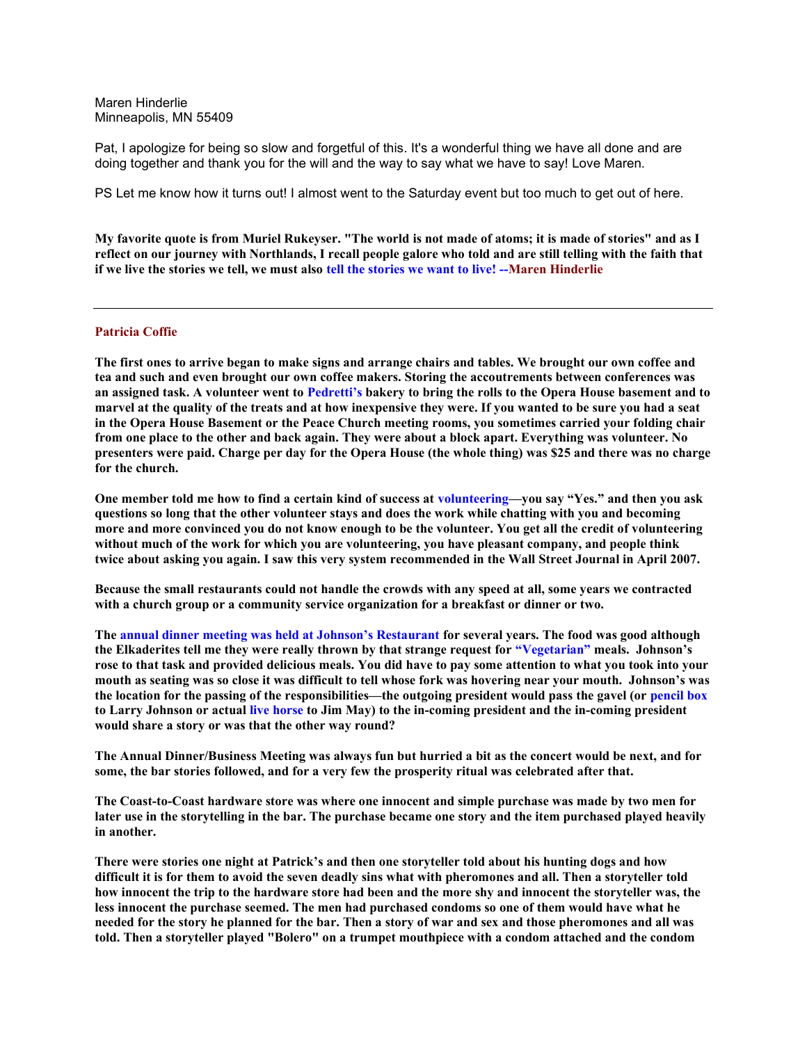Maren Hinderlie Minneapolis, MN 55409

Pat, I apologize for being so slow and forgetful of this. It's a wonderful thing we have all done and are doing together and thank you for the will and the way to say what we have to say! Love Maren.

PS Let me know how it turns out! I almost went to the Saturday event but too much to get out of here.

My favorite quote is from Muriel Rukeyser. "The world is not made of atoms; it is made of stories" and as I reflect on our journey with Northlands, I recall people galore who told and are still telling with the faith that if we live the stories we tell, we must also tell the stories we want to live! --Maren Hinderlie

### Patricia Coffie

The first ones to arrive began to make signs and arrange chairs and tables. We brought our own coffee and tea and such and even brought our own coffee makers. Storing the accoutrements between conferences was an assigned task. A volunteer went to Pedretti's bakery to bring the rolls to the Opera House basement and to marvel at the quality of the treats and at how inexpensive they were. If you wanted to be sure you had a seat in the Opera House Basement or the Peace Church meeting rooms, you sometimes carried your folding chair from one place to the other and back again. They were about a block apart. Everything was volunteer. No presenters were paid. Charge per day for the Opera House (the whole thing) was \$25 and there was no charge for the church.

One member told me how to find a certain kind of success at volunteering—you say "Yes." and then you ask questions so long that the other volunteer stays and does the work while chatting with you and becoming more and more convinced you do not know enough to be the volunteer. You get all the credit of volunteering without much of the work for which you are volunteering, you have pleasant company, and people think twice about asking you again. I saw this very system recommended in the Wall Street Journal in April 2007.

Because the small restaurants could not handle the crowds with any speed at all, some years we contracted with a church group or a community service organization for a breakfast or dinner or two.

The annual dinner meeting was held at Johnson's Restaurant for several years. The food was good although the Elkaderites tell me they were really thrown by that strange request for "Vegetarian" meals. Johnson's rose to that task and provided delicious meals. You did have to pay some attention to what you took into your mouth as seating was so close it was difficult to tell whose fork was hovering near your mouth. Johnson's was the location for the passing of the responsibilities—the outgoing president would pass the gavel (or pencil box to Larry Johnson or actual live horse to Jim May) to the in-coming president and the in-coming president would share a story or was that the other way round?

The Annual Dinner/Business Meeting was always fun but hurried a bit as the concert would be next, and for some, the bar stories followed, and for a very few the prosperity ritual was celebrated after that.

The Coast-to-Coast hardware store was where one innocent and simple purchase was made by two men for later use in the storytelling in the bar. The purchase became one story and the item purchased played heavily in another.

There were stories one night at Patrick's and then one storyteller told about his hunting dogs and how difficult it is for them to avoid the seven deadly sins what with pheromones and all. Then a storyteller told how innocent the trip to the hardware store had been and the more shy and innocent the storyteller was, the less innocent the purchase seemed. The men had purchased condoms so one of them would have what he needed for the story he planned for the bar. Then a story of war and sex and those pheromones and all was told. Then a storyteller played "Bolero" on a trumpet mouthpiece with a condom attached and the condom